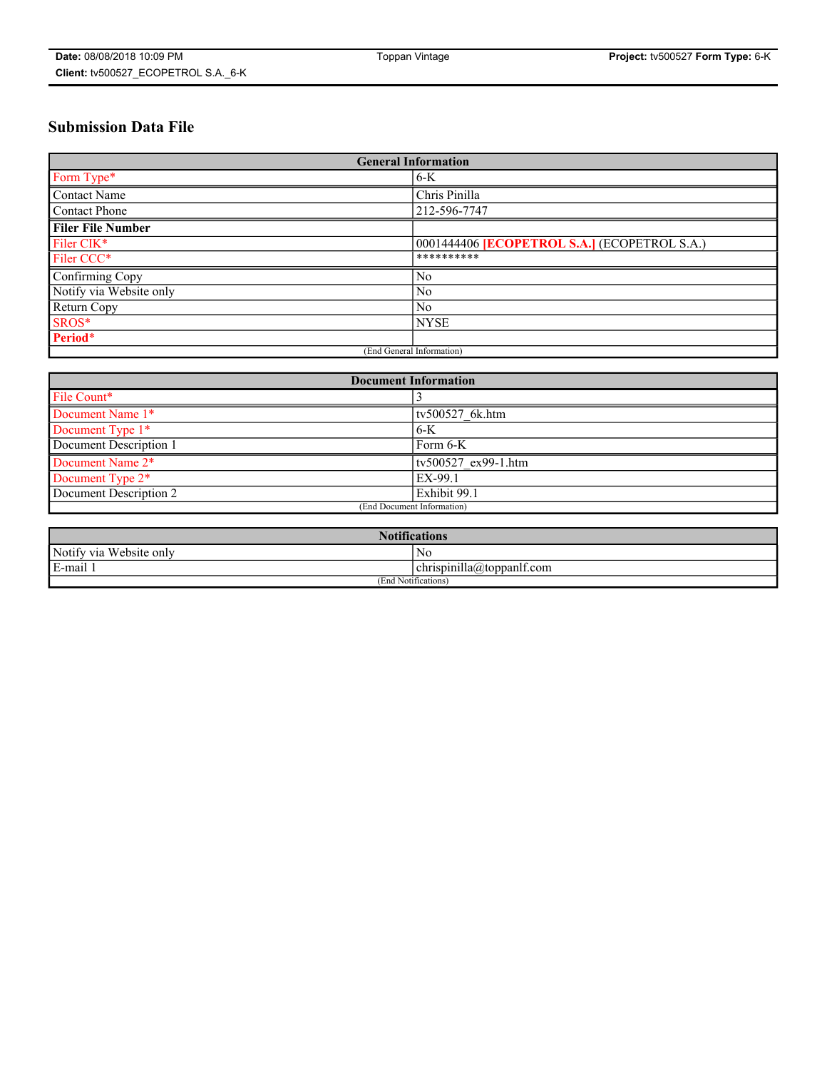# **Submission Data File**

| <b>General Information</b> |                                                     |
|----------------------------|-----------------------------------------------------|
| Form Type*                 | $6-K$                                               |
| Contact Name               | Chris Pinilla                                       |
| <b>Contact Phone</b>       | 212-596-7747                                        |
| <b>Filer File Number</b>   |                                                     |
| Filer CIK*                 | 0001444406 <b>[ECOPETROL S.A.]</b> (ECOPETROL S.A.) |
| Filer CCC*                 | **********                                          |
| Confirming Copy            | N <sub>0</sub>                                      |
| Notify via Website only    | N <sub>0</sub>                                      |
| Return Copy                | N <sub>0</sub>                                      |
| SROS*                      | <b>NYSE</b>                                         |
| Period*                    |                                                     |
| (End General Information)  |                                                     |

| <b>Document Information</b> |                     |
|-----------------------------|---------------------|
| File Count*                 |                     |
| Document Name 1*            | tv500527 6k.htm     |
| Document Type 1*            | $6-K$               |
| Document Description 1      | Form 6-K            |
| Document Name 2*            | ty500527 ex99-1.htm |
| Document Type 2*            | EX-99.1             |
| Document Description 2      | Exhibit 99.1        |
| (End Document Information)  |                     |

| <b>Notifications</b>       |                                 |  |
|----------------------------|---------------------------------|--|
| Notify via<br>Website only | N <sub>0</sub>                  |  |
| $E$ -mail 1                | <br>chrispinilla(a)toppanif.com |  |
| (End Notifications)        |                                 |  |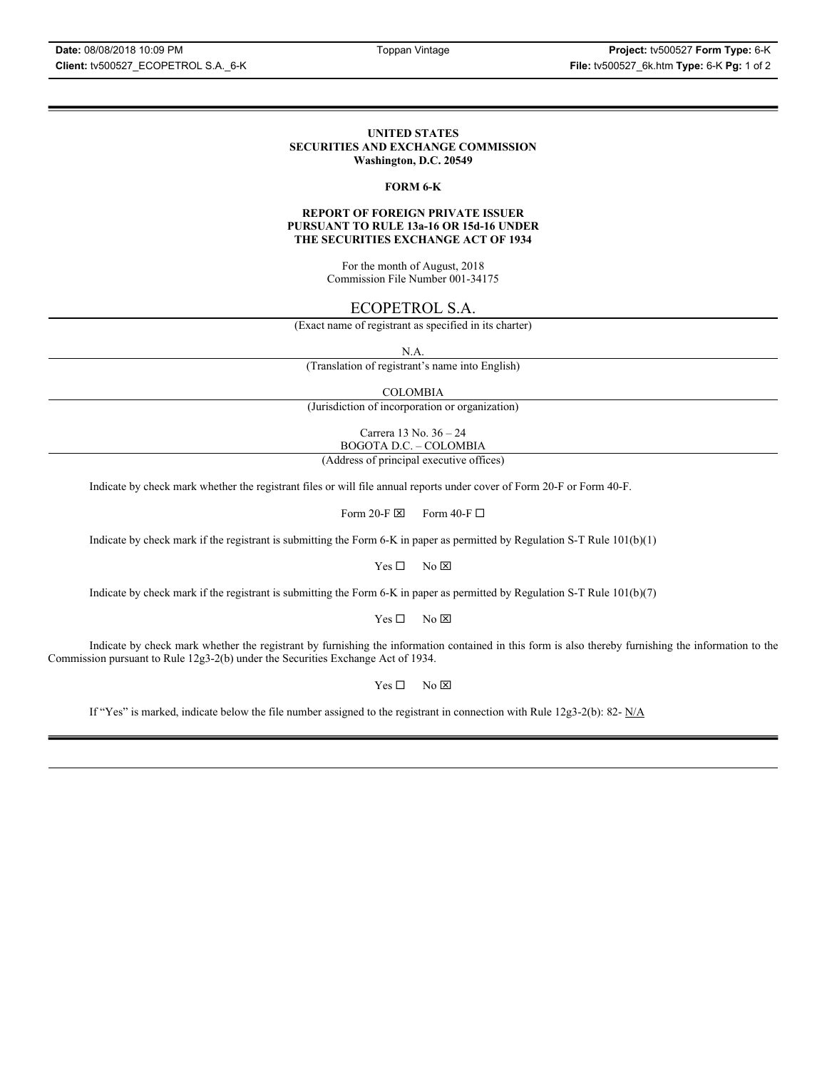#### **UNITED STATES SECURITIES AND EXCHANGE COMMISSION Washington, D.C. 20549**

#### **FORM 6-K**

#### **REPORT OF FOREIGN PRIVATE ISSUER PURSUANT TO RULE 13a-16 OR 15d-16 UNDER THE SECURITIES EXCHANGE ACT OF 1934**

For the month of August, 2018 Commission File Number 001-34175

### ECOPETROL S.A.

(Exact name of registrant as specified in its charter)

N.A.

(Translation of registrant's name into English)

COLOMBIA

(Jurisdiction of incorporation or organization)

Carrera 13 No. 36 – 24 BOGOTA D.C. – COLOMBIA

(Address of principal executive offices)

Indicate by check mark whether the registrant files or will file annual reports under cover of Form 20-F or Form 40-F.

Form 20-F  $\boxtimes$  Form 40-F  $\Box$ 

Indicate by check mark if the registrant is submitting the Form 6-K in paper as permitted by Regulation S-T Rule 101(b)(1)

 $Yes \Box$  No  $\boxtimes$ 

Indicate by check mark if the registrant is submitting the Form 6-K in paper as permitted by Regulation S-T Rule 101(b)(7)

 $Yes \Box$  No  $\boxtimes$ 

Indicate by check mark whether the registrant by furnishing the information contained in this form is also thereby furnishing the information to the Commission pursuant to Rule 12g3-2(b) under the Securities Exchange Act of 1934.

 $Yes \Box$  No  $\boxtimes$ 

If "Yes" is marked, indicate below the file number assigned to the registrant in connection with Rule 12g3-2(b): 82-  $N/A$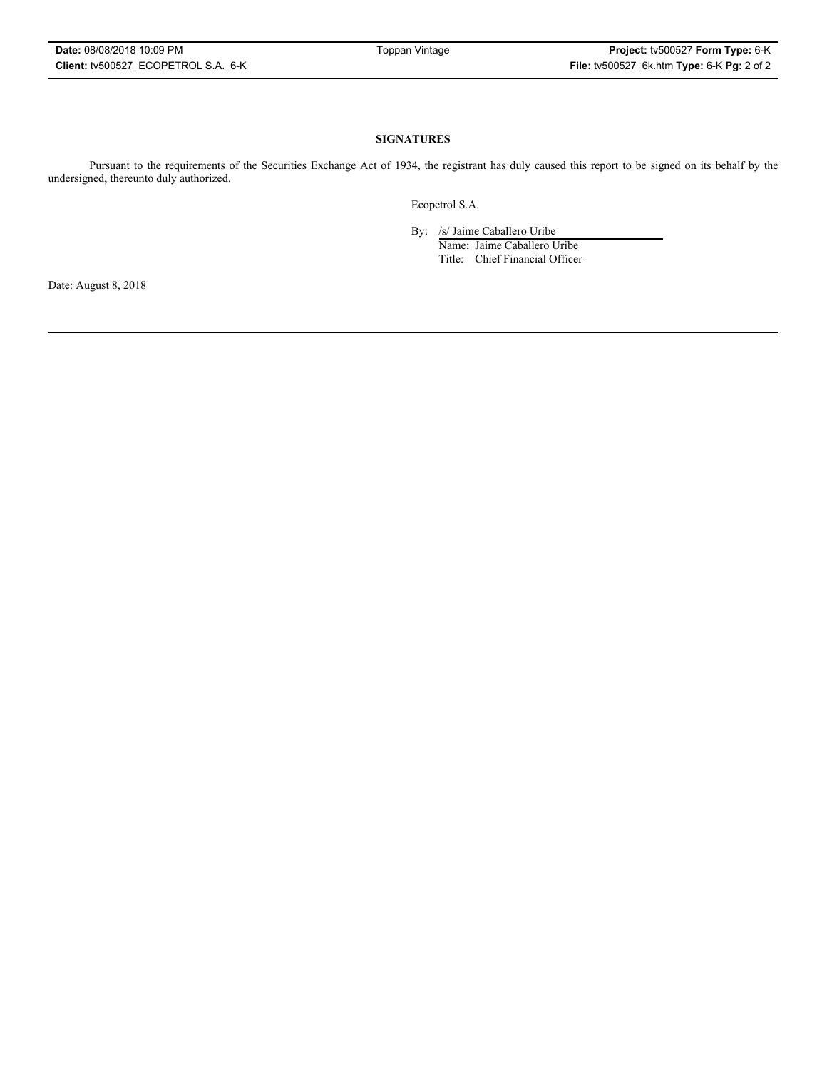#### **SIGNATURES**

Pursuant to the requirements of the Securities Exchange Act of 1934, the registrant has duly caused this report to be signed on its behalf by the undersigned, thereunto duly authorized.

Ecopetrol S.A.

By: /s/ Jaime Caballero Uribe

Name: Jaime Caballero Uribe Title: Chief Financial Officer

Date: August 8, 2018